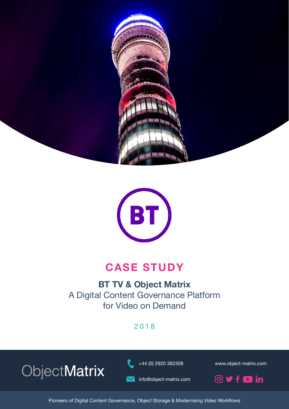



# **CASE STUDY**

## **BT TV & Object Matrix** A Digital Content Governance Platform for Video on Demand

2018

ObjectMatrix

+44 (0) 2920 382308 www.object-matrix.com

info@object-matrix.com



Pioneers of Digital Content Governance, Object Storage & Modernising Video Workflows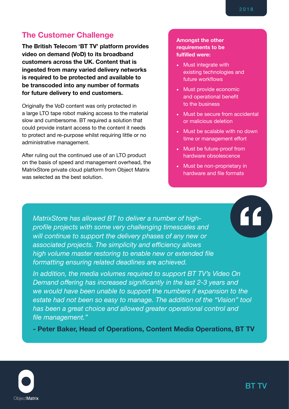#### **The Customer Challenge**

**The British Telecom 'BT TV' platform provides video on demand (VoD) to its broadband customers across the UK. Content that is ingested from many varied delivery networks is required to be protected and available to be transcoded into any number of formats for future delivery to end customers.**

Originally the VoD content was only protected in a large LTO tape robot making access to the material slow and cumbersome. BT required a solution that could provide instant access to the content it needs to protect and re-purpose whilst requiring little or no administrative management.

After ruling out the continued use of an LTO product on the basis of speed and management overhead, the MatrixStore private cloud platform from Object Matrix was selected as the best solution.

#### **Amongst the other requirements to be fulfilled were:**

- Must integrate with existing technologies and future workflows
- Must provide economic and operational benefit to the business
- Must be secure from accidental or malicious deletion
- Must be scalable with no down time or management effort
- Must be future-proof from hardware obsolescence
- Must be non-proprietary in hardware and file formats

*MatrixStore has allowed BT to deliver a number of highprofile projects with some very challenging timescales and will continue to support the delivery phases of any new or associated projects. The simplicity and efficiency allows high volume master restoring to enable new or extended file formatting ensuring related deadlines are achieved.*

*In addition, the media volumes required to support BT TV's Video On Demand offering has increased significantly in the last 2-3 years and we would have been unable to support the numbers if expansion to the estate had not been so easy to manage. The addition of the "Vision" tool has been a great choice and allowed greater operational control and file management."*

**- Peter Baker, Head of Operations, Content Media Operations, BT TV**

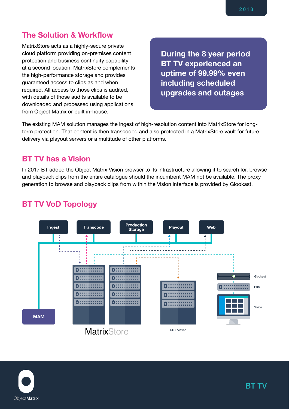#### **The Solution & Workflow**

MatrixStore acts as a highly-secure private cloud platform providing on-premises content protection and business continuity capability at a second location. MatrixStore complements the high-performance storage and provides guaranteed access to clips as and when required. All access to those clips is audited, with details of those audits available to be downloaded and processed using applications from Object Matrix or built in-house.

**During the 8 year period BT TV experienced an uptime of 99.99% even including scheduled upgrades and outages**

The existing MAM solution manages the ingest of high-resolution content into MatrixStore for longterm protection. That content is then transcoded and also protected in a MatrixStore vault for future delivery via playout servers or a multitude of other platforms.

#### **BT TV has a Vision**

In 2017 BT added the Object Matrix Vision browser to its infrastructure allowing it to search for, browse and playback clips from the entire catalogue should the incumbent MAM not be available. The proxy generation to browse and playback clips from within the Vision interface is provided by Glookast.

#### **BT TV VoD Topology**



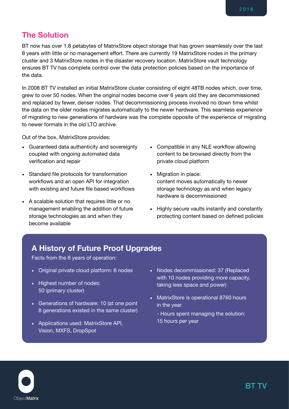#### **The Solution**

BT now has over 1.8 petabytes of MatrixStore object storage that has grown seamlessly over the last 8 years with little or no management effort. There are currently 19 MatrixStore nodes in the primary cluster and 3 MatrixStore nodes in the disaster recovery location. MatrixStore vault technology ensures BT TV has complete control over the data protection policies based on the importance of the data.

In 2008 BT TV installed an initial MatrixStore cluster consisting of eight 48TB nodes which, over time, grew to over 50 nodes. When the original nodes become over 6 years old they are decommissioned and replaced by fewer, denser nodes. That decommissioning process involved no down time whilst the data on the older nodes migrates automatically to the newer hardware. This seamless experience of migrating to new generations of hardware was the complete opposite of the experience of migrating to newer formats in the old LTO archive.

Out of the box, MatrixStore provides:

- Guaranteed data authenticity and sovereignty coupled with ongoing automated data verification and repair
- Standard file protocols for transformation workflows and an open API for integration with existing and future file based workflows
- A scalable solution that requires little or no management enabling the addition of future storage technologies as and when they become available
- Compatible in any NLE workflow allowing content to be browsed directly from the private cloud platform
- Migration in place: content moves automatically to newer storage technology as and when legacy hardware is decommissioned
- Highly secure vaults instantly and constantly protecting content based on defined policies

#### **A History of Future Proof Upgrades**

Facts from the 8 years of operation:

- Original private cloud platform: 8 nodes
- Highest number of nodes: 50 (primary cluster)
- Generations of hardware: 10 (at one point 8 generations existed in the same cluster)
- Applications used: MatrixStore API, Vision, MXFS, DropSpot
- Nodes decommissioned: 37 (Replaced with 10 nodes providing more capacity, taking less space and power)
- MatrixStore is operational 8760 hours in the year
	- Hours spent managing the solution: 15 hours per year

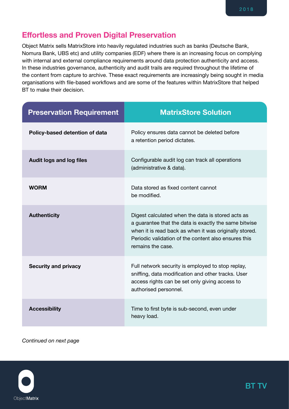#### **Effortless and Proven Digital Preservation**

Object Matrix sells MatrixStore into heavily regulated industries such as banks (Deutsche Bank, Nomura Bank, UBS etc) and utility companies (EDF) where there is an increasing focus on complying with internal and external compliance requirements around data protection authenticity and access. In these industries governance, authenticity and audit trails are required throughout the lifetime of the content from capture to archive. These exact requirements are increasingly being sought in media organisations with file-based workflows and are some of the features within MatrixStore that helped BT to make their decision.

| <b>Preservation Requirement</b> | <b>MatrixStore Solution</b>                                                                                                                                                                                                                       |
|---------------------------------|---------------------------------------------------------------------------------------------------------------------------------------------------------------------------------------------------------------------------------------------------|
| Policy-based detention of data  | Policy ensures data cannot be deleted before<br>a retention period dictates.                                                                                                                                                                      |
| <b>Audit logs and log files</b> | Configurable audit log can track all operations<br>(administrative & data).                                                                                                                                                                       |
| <b>WORM</b>                     | Data stored as fixed content cannot<br>be modified.                                                                                                                                                                                               |
| <b>Authenticity</b>             | Digest calculated when the data is stored acts as<br>a guarantee that the data is exactly the same bitwise<br>when it is read back as when it was originally stored.<br>Periodic validation of the content also ensures this<br>remains the case. |
| <b>Security and privacy</b>     | Full network security is employed to stop replay,<br>sniffing, data modification and other tracks. User<br>access rights can be set only giving access to<br>authorised personnel.                                                                |
| <b>Accessibility</b>            | Time to first byte is sub-second, even under<br>heavy load.                                                                                                                                                                                       |

*Continued on next page*

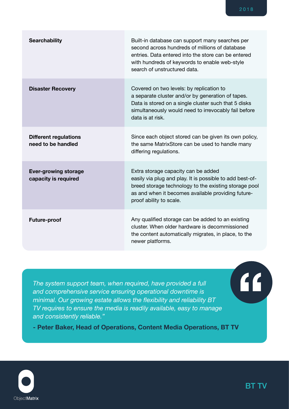| <b>Searchability</b>                                | Built-in database can support many searches per<br>second across hundreds of millions of database<br>entries. Data entered into the store can be entered<br>with hundreds of keywords to enable web-style<br>search of unstructured data. |
|-----------------------------------------------------|-------------------------------------------------------------------------------------------------------------------------------------------------------------------------------------------------------------------------------------------|
| <b>Disaster Recovery</b>                            | Covered on two levels: by replication to<br>a separate cluster and/or by generation of tapes.<br>Data is stored on a single cluster such that 5 disks<br>simultaneously would need to irrevocably fail before<br>data is at risk.         |
| <b>Different regulations</b><br>need to be handled  | Since each object stored can be given its own policy,<br>the same MatrixStore can be used to handle many<br>differing regulations.                                                                                                        |
| <b>Ever-growing storage</b><br>capacity is required | Extra storage capacity can be added<br>easily via plug and play. It is possible to add best-of-<br>breed storage technology to the existing storage pool<br>as and when it becomes available providing future-<br>proof ability to scale. |
| <b>Future-proof</b>                                 | Any qualified storage can be added to an existing<br>cluster. When older hardware is decommissioned<br>the content automatically migrates, in place, to the<br>newer platforms.                                                           |

*The system support team, when required, have provided a full and comprehensive service ensuring operational downtime is minimal. Our growing estate allows the flexibility and reliability BT TV requires to ensure the media is readily available, easy to manage and consistently reliable."*

**- Peter Baker, Head of Operations, Content Media Operations, BT TV**



 $\left( \mathbf{f}\right)$